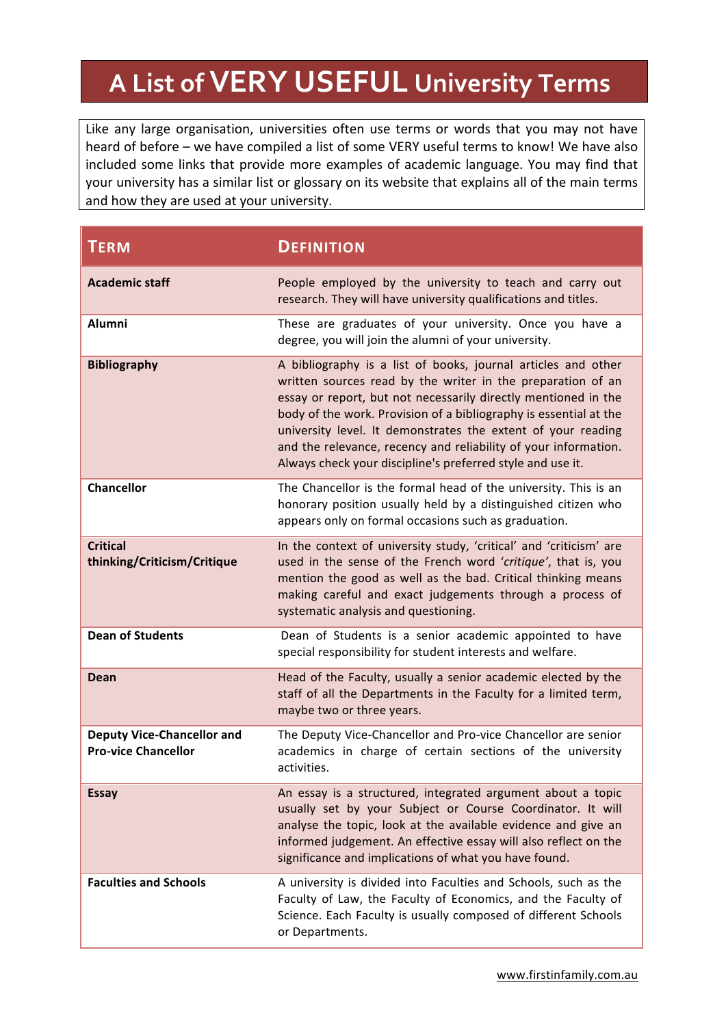## **A List of VERY USEFUL University Terms**

Like any large organisation, universities often use terms or words that you may not have heard of before – we have compiled a list of some VERY useful terms to know! We have also included some links that provide more examples of academic language. You may find that your university has a similar list or glossary on its website that explains all of the main terms and how they are used at your university.

| <b>TERM</b>                                                     | <b>DEFINITION</b>                                                                                                                                                                                                                                                                                                                                                                                                                                                    |
|-----------------------------------------------------------------|----------------------------------------------------------------------------------------------------------------------------------------------------------------------------------------------------------------------------------------------------------------------------------------------------------------------------------------------------------------------------------------------------------------------------------------------------------------------|
| <b>Academic staff</b>                                           | People employed by the university to teach and carry out<br>research. They will have university qualifications and titles.                                                                                                                                                                                                                                                                                                                                           |
| Alumni                                                          | These are graduates of your university. Once you have a<br>degree, you will join the alumni of your university.                                                                                                                                                                                                                                                                                                                                                      |
| <b>Bibliography</b>                                             | A bibliography is a list of books, journal articles and other<br>written sources read by the writer in the preparation of an<br>essay or report, but not necessarily directly mentioned in the<br>body of the work. Provision of a bibliography is essential at the<br>university level. It demonstrates the extent of your reading<br>and the relevance, recency and reliability of your information.<br>Always check your discipline's preferred style and use it. |
| <b>Chancellor</b>                                               | The Chancellor is the formal head of the university. This is an<br>honorary position usually held by a distinguished citizen who<br>appears only on formal occasions such as graduation.                                                                                                                                                                                                                                                                             |
| <b>Critical</b><br>thinking/Criticism/Critique                  | In the context of university study, 'critical' and 'criticism' are<br>used in the sense of the French word 'critique', that is, you<br>mention the good as well as the bad. Critical thinking means<br>making careful and exact judgements through a process of<br>systematic analysis and questioning.                                                                                                                                                              |
| <b>Dean of Students</b>                                         | Dean of Students is a senior academic appointed to have<br>special responsibility for student interests and welfare.                                                                                                                                                                                                                                                                                                                                                 |
| Dean                                                            | Head of the Faculty, usually a senior academic elected by the<br>staff of all the Departments in the Faculty for a limited term,<br>maybe two or three years.                                                                                                                                                                                                                                                                                                        |
| <b>Deputy Vice-Chancellor and</b><br><b>Pro-vice Chancellor</b> | The Deputy Vice-Chancellor and Pro-vice Chancellor are senior<br>academics in charge of certain sections of the university<br>activities.                                                                                                                                                                                                                                                                                                                            |
| <b>Essay</b>                                                    | An essay is a structured, integrated argument about a topic<br>usually set by your Subject or Course Coordinator. It will<br>analyse the topic, look at the available evidence and give an<br>informed judgement. An effective essay will also reflect on the<br>significance and implications of what you have found.                                                                                                                                               |
| <b>Faculties and Schools</b>                                    | A university is divided into Faculties and Schools, such as the<br>Faculty of Law, the Faculty of Economics, and the Faculty of<br>Science. Each Faculty is usually composed of different Schools<br>or Departments.                                                                                                                                                                                                                                                 |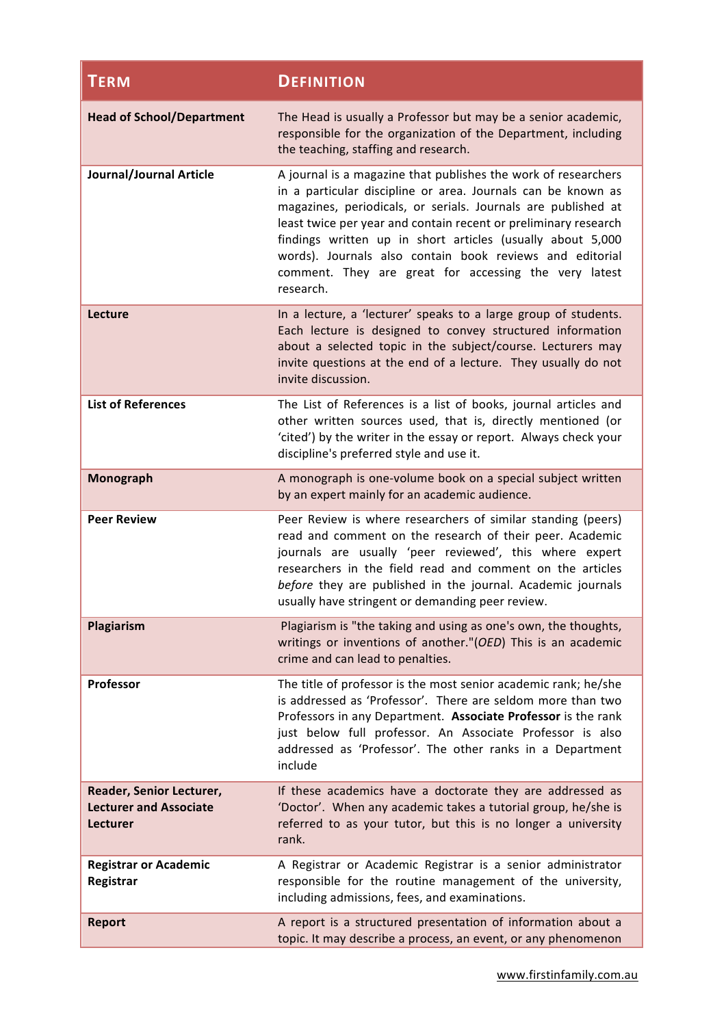| <b>TERM</b>                                                                  | <b>DEFINITION</b>                                                                                                                                                                                                                                                                                                                                                                                                                                                  |
|------------------------------------------------------------------------------|--------------------------------------------------------------------------------------------------------------------------------------------------------------------------------------------------------------------------------------------------------------------------------------------------------------------------------------------------------------------------------------------------------------------------------------------------------------------|
| <b>Head of School/Department</b>                                             | The Head is usually a Professor but may be a senior academic,<br>responsible for the organization of the Department, including<br>the teaching, staffing and research.                                                                                                                                                                                                                                                                                             |
| Journal/Journal Article                                                      | A journal is a magazine that publishes the work of researchers<br>in a particular discipline or area. Journals can be known as<br>magazines, periodicals, or serials. Journals are published at<br>least twice per year and contain recent or preliminary research<br>findings written up in short articles (usually about 5,000<br>words). Journals also contain book reviews and editorial<br>comment. They are great for accessing the very latest<br>research. |
| Lecture                                                                      | In a lecture, a 'lecturer' speaks to a large group of students.<br>Each lecture is designed to convey structured information<br>about a selected topic in the subject/course. Lecturers may<br>invite questions at the end of a lecture. They usually do not<br>invite discussion.                                                                                                                                                                                 |
| <b>List of References</b>                                                    | The List of References is a list of books, journal articles and<br>other written sources used, that is, directly mentioned (or<br>'cited') by the writer in the essay or report. Always check your<br>discipline's preferred style and use it.                                                                                                                                                                                                                     |
| Monograph                                                                    | A monograph is one-volume book on a special subject written<br>by an expert mainly for an academic audience.                                                                                                                                                                                                                                                                                                                                                       |
| <b>Peer Review</b>                                                           | Peer Review is where researchers of similar standing (peers)<br>read and comment on the research of their peer. Academic<br>journals are usually 'peer reviewed', this where expert<br>researchers in the field read and comment on the articles<br>before they are published in the journal. Academic journals<br>usually have stringent or demanding peer review.                                                                                                |
| Plagiarism                                                                   | Plagiarism is "the taking and using as one's own, the thoughts,<br>writings or inventions of another."(OED) This is an academic<br>crime and can lead to penalties.                                                                                                                                                                                                                                                                                                |
| Professor                                                                    | The title of professor is the most senior academic rank; he/she<br>is addressed as 'Professor'. There are seldom more than two<br>Professors in any Department. Associate Professor is the rank<br>just below full professor. An Associate Professor is also<br>addressed as 'Professor'. The other ranks in a Department<br>include                                                                                                                               |
| Reader, Senior Lecturer,<br><b>Lecturer and Associate</b><br><b>Lecturer</b> | If these academics have a doctorate they are addressed as<br>'Doctor'. When any academic takes a tutorial group, he/she is<br>referred to as your tutor, but this is no longer a university<br>rank.                                                                                                                                                                                                                                                               |
| <b>Registrar or Academic</b><br>Registrar                                    | A Registrar or Academic Registrar is a senior administrator<br>responsible for the routine management of the university,<br>including admissions, fees, and examinations.                                                                                                                                                                                                                                                                                          |
| <b>Report</b>                                                                | A report is a structured presentation of information about a<br>topic. It may describe a process, an event, or any phenomenon                                                                                                                                                                                                                                                                                                                                      |